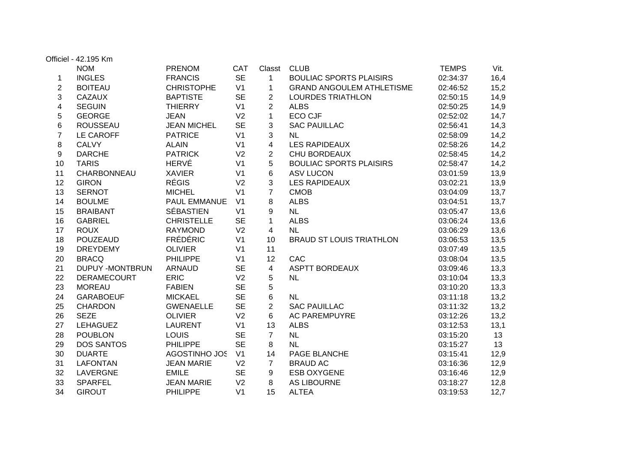|                | Officiel - 42.195 Km   |                    |                |                |                                  |              |      |
|----------------|------------------------|--------------------|----------------|----------------|----------------------------------|--------------|------|
|                | <b>NOM</b>             | <b>PRENOM</b>      | <b>CAT</b>     | Classt         | <b>CLUB</b>                      | <b>TEMPS</b> | Vit. |
| 1              | <b>INGLES</b>          | <b>FRANCIS</b>     | <b>SE</b>      | $\mathbf{1}$   | <b>BOULIAC SPORTS PLAISIRS</b>   | 02:34:37     | 16,4 |
| $\overline{2}$ | <b>BOITEAU</b>         | <b>CHRISTOPHE</b>  | V <sub>1</sub> | $\mathbf 1$    | <b>GRAND ANGOULEM ATHLETISME</b> | 02:46:52     | 15,2 |
| 3              | <b>CAZAUX</b>          | <b>BAPTISTE</b>    | <b>SE</b>      | $\overline{2}$ | <b>LOURDES TRIATHLON</b>         | 02:50:15     | 14,9 |
| 4              | <b>SEGUIN</b>          | <b>THIERRY</b>     | V <sub>1</sub> | $\overline{2}$ | <b>ALBS</b>                      | 02:50:25     | 14,9 |
| 5              | <b>GEORGE</b>          | <b>JEAN</b>        | V <sub>2</sub> | $\mathbf 1$    | <b>ECO CJF</b>                   | 02:52:02     | 14,7 |
| 6              | <b>ROUSSEAU</b>        | <b>JEAN MICHEL</b> | <b>SE</b>      | 3              | <b>SAC PAUILLAC</b>              | 02:56:41     | 14,3 |
| $\overline{7}$ | LE CAROFF              | <b>PATRICE</b>     | V <sub>1</sub> | 3              | <b>NL</b>                        | 02:58:09     | 14,2 |
| 8              | <b>CALVY</b>           | <b>ALAIN</b>       | V <sub>1</sub> | 4              | <b>LES RAPIDEAUX</b>             | 02:58:26     | 14,2 |
| 9              | <b>DARCHE</b>          | <b>PATRICK</b>     | V <sub>2</sub> | $\overline{2}$ | CHU BORDEAUX                     | 02:58:45     | 14,2 |
| 10             | <b>TARIS</b>           | <b>HERVÉ</b>       | V <sub>1</sub> | 5              | <b>BOULIAC SPORTS PLAISIRS</b>   | 02:58:47     | 14,2 |
| 11             | CHARBONNEAU            | <b>XAVIER</b>      | V <sub>1</sub> | 6              | <b>ASV LUCON</b>                 | 03:01:59     | 13,9 |
| 12             | <b>GIRON</b>           | <b>RÉGIS</b>       | V <sub>2</sub> | 3              | <b>LES RAPIDEAUX</b>             | 03:02:21     | 13,9 |
| 13             | <b>SERNOT</b>          | <b>MICHEL</b>      | V <sub>1</sub> | $\overline{7}$ | <b>CMOB</b>                      | 03:04:09     | 13,7 |
| 14             | <b>BOULME</b>          | PAUL EMMANUE       | V <sub>1</sub> | 8              | <b>ALBS</b>                      | 03:04:51     | 13,7 |
| 15             | <b>BRAIBANT</b>        | <b>SÉBASTIEN</b>   | V <sub>1</sub> | 9              | <b>NL</b>                        | 03:05:47     | 13,6 |
| 16             | <b>GABRIEL</b>         | <b>CHRISTELLE</b>  | <b>SE</b>      | $\mathbf{1}$   | <b>ALBS</b>                      | 03:06:24     | 13,6 |
| 17             | <b>ROUX</b>            | <b>RAYMOND</b>     | V <sub>2</sub> | $\overline{4}$ | <b>NL</b>                        | 03:06:29     | 13,6 |
| 18             | <b>POUZEAUD</b>        | <b>FRÉDÉRIC</b>    | V <sub>1</sub> | 10             | <b>BRAUD ST LOUIS TRIATHLON</b>  | 03:06:53     | 13,5 |
| 19             | <b>DREYDEMY</b>        | <b>OLIVIER</b>     | V <sub>1</sub> | 11             |                                  | 03:07:49     | 13,5 |
| 20             | <b>BRACQ</b>           | <b>PHILIPPE</b>    | V <sub>1</sub> | 12             | CAC                              | 03:08:04     | 13,5 |
| 21             | <b>DUPUY -MONTBRUN</b> | <b>ARNAUD</b>      | <b>SE</b>      | $\overline{4}$ | <b>ASPTT BORDEAUX</b>            | 03:09:46     | 13,3 |
| 22             | <b>DERAMECOURT</b>     | <b>ERIC</b>        | V <sub>2</sub> | 5              | <b>NL</b>                        | 03:10:04     | 13,3 |
| 23             | <b>MOREAU</b>          | <b>FABIEN</b>      | <b>SE</b>      | 5              |                                  | 03:10:20     | 13,3 |
| 24             | <b>GARABOEUF</b>       | <b>MICKAEL</b>     | <b>SE</b>      | $6\phantom{a}$ | <b>NL</b>                        | 03:11:18     | 13,2 |
| 25             | <b>CHARDON</b>         | <b>GWENAELLE</b>   | <b>SE</b>      | $\overline{2}$ | <b>SAC PAUILLAC</b>              | 03:11:32     | 13,2 |
| 26             | <b>SEZE</b>            | <b>OLIVIER</b>     | V <sub>2</sub> | 6              | <b>AC PAREMPUYRE</b>             | 03:12:26     | 13,2 |
| 27             | <b>LEHAGUEZ</b>        | <b>LAURENT</b>     | V <sub>1</sub> | 13             | <b>ALBS</b>                      | 03:12:53     | 13,1 |
| 28             | <b>POUBLON</b>         | <b>LOUIS</b>       | <b>SE</b>      | $\overline{7}$ | NL                               | 03:15:20     | 13   |
| 29             | <b>DOS SANTOS</b>      | <b>PHILIPPE</b>    | <b>SE</b>      | 8              | <b>NL</b>                        | 03:15:27     | 13   |
| 30             | <b>DUARTE</b>          | AGOSTINHO JOS      | V <sub>1</sub> | 14             | PAGE BLANCHE                     | 03:15:41     | 12,9 |
| 31             | <b>LAFONTAN</b>        | <b>JEAN MARIE</b>  | V <sub>2</sub> | $\overline{7}$ | <b>BRAUD AC</b>                  | 03:16:36     | 12,9 |
| 32             | LAVERGNE               | <b>EMILE</b>       | <b>SE</b>      | 9              | <b>ESB OXYGENE</b>               | 03:16:46     | 12,9 |
| 33             | <b>SPARFEL</b>         | <b>JEAN MARIE</b>  | V <sub>2</sub> | 8              | <b>AS LIBOURNE</b>               | 03:18:27     | 12,8 |
| 34             | <b>GIROUT</b>          | <b>PHILIPPE</b>    | V <sub>1</sub> | 15             | <b>ALTEA</b>                     | 03:19:53     | 12,7 |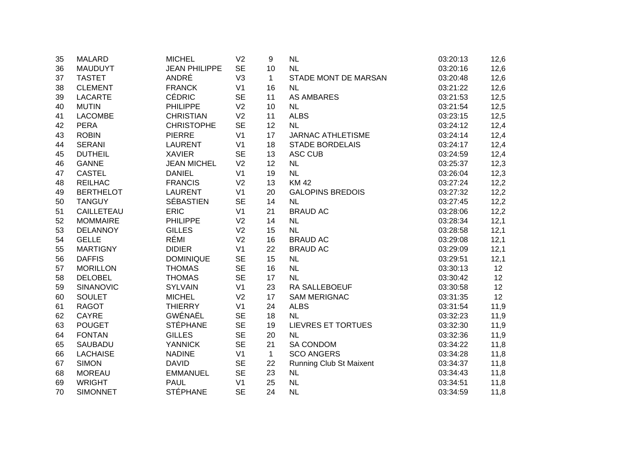| 35 | <b>MALARD</b>    | <b>MICHEL</b>        | V <sub>2</sub> | 9            | <b>NL</b>                      | 03:20:13 | 12,6            |
|----|------------------|----------------------|----------------|--------------|--------------------------------|----------|-----------------|
| 36 | <b>MAUDUYT</b>   | <b>JEAN PHILIPPE</b> | <b>SE</b>      | 10           | NL                             | 03:20:16 | 12,6            |
| 37 | <b>TASTET</b>    | ANDRÉ                | V <sub>3</sub> | $\mathbf{1}$ | STADE MONT DE MARSAN           | 03:20:48 | 12,6            |
| 38 | <b>CLEMENT</b>   | <b>FRANCK</b>        | V <sub>1</sub> | 16           | <b>NL</b>                      | 03:21:22 | 12,6            |
| 39 | <b>LACARTE</b>   | <b>CÉDRIC</b>        | <b>SE</b>      | 11           | AS AMBARES                     | 03:21:53 | 12,5            |
| 40 | <b>MUTIN</b>     | <b>PHILIPPE</b>      | V <sub>2</sub> | 10           | <b>NL</b>                      | 03:21:54 | 12,5            |
| 41 | <b>LACOMBE</b>   | <b>CHRISTIAN</b>     | V <sub>2</sub> | 11           | <b>ALBS</b>                    | 03:23:15 | 12,5            |
| 42 | <b>PERA</b>      | <b>CHRISTOPHE</b>    | <b>SE</b>      | 12           | <b>NL</b>                      | 03:24:12 | 12,4            |
| 43 | <b>ROBIN</b>     | <b>PIERRE</b>        | V <sub>1</sub> | 17           | <b>JARNAC ATHLETISME</b>       | 03:24:14 | 12,4            |
| 44 | <b>SERANI</b>    | <b>LAURENT</b>       | V <sub>1</sub> | 18           | <b>STADE BORDELAIS</b>         | 03:24:17 | 12,4            |
| 45 | <b>DUTHEIL</b>   | <b>XAVIER</b>        | <b>SE</b>      | 13           | ASC CUB                        | 03:24:59 | 12,4            |
| 46 | <b>GANNE</b>     | <b>JEAN MICHEL</b>   | V <sub>2</sub> | 12           | <b>NL</b>                      | 03:25:37 | 12,3            |
| 47 | <b>CASTEL</b>    | <b>DANIEL</b>        | V <sub>1</sub> | 19           | NL                             | 03:26:04 | 12,3            |
| 48 | <b>REILHAC</b>   | <b>FRANCIS</b>       | V <sub>2</sub> | 13           | <b>KM42</b>                    | 03:27:24 | 12,2            |
| 49 | <b>BERTHELOT</b> | <b>LAURENT</b>       | V <sub>1</sub> | 20           | <b>GALOPINS BREDOIS</b>        | 03:27:32 | 12,2            |
| 50 | <b>TANGUY</b>    | <b>SÉBASTIEN</b>     | <b>SE</b>      | 14           | <b>NL</b>                      | 03:27:45 | 12,2            |
| 51 | CAILLETEAU       | <b>ERIC</b>          | V <sub>1</sub> | 21           | <b>BRAUD AC</b>                | 03:28:06 | 12,2            |
| 52 | <b>MOMMAIRE</b>  | <b>PHILIPPE</b>      | V <sub>2</sub> | 14           | <b>NL</b>                      | 03:28:34 | 12,1            |
| 53 | <b>DELANNOY</b>  | <b>GILLES</b>        | V <sub>2</sub> | 15           | <b>NL</b>                      | 03:28:58 | 12,1            |
| 54 | <b>GELLE</b>     | RÉMI                 | V <sub>2</sub> | 16           | <b>BRAUD AC</b>                | 03:29:08 | 12,1            |
| 55 | <b>MARTIGNY</b>  | <b>DIDIER</b>        | V <sub>1</sub> | 22           | <b>BRAUD AC</b>                | 03:29:09 | 12,1            |
| 56 | <b>DAFFIS</b>    | <b>DOMINIQUE</b>     | <b>SE</b>      | 15           | <b>NL</b>                      | 03:29:51 | 12,1            |
| 57 | <b>MORILLON</b>  | <b>THOMAS</b>        | <b>SE</b>      | 16           | NL                             | 03:30:13 | 12 <sup>°</sup> |
| 58 | <b>DELOBEL</b>   | <b>THOMAS</b>        | <b>SE</b>      | 17           | NL                             | 03:30:42 | 12              |
| 59 | <b>SINANOVIC</b> | <b>SYLVAIN</b>       | V <sub>1</sub> | 23           | <b>RA SALLEBOEUF</b>           | 03:30:58 | 12 <sub>2</sub> |
| 60 | <b>SOULET</b>    | <b>MICHEL</b>        | V <sub>2</sub> | 17           | <b>SAM MERIGNAC</b>            | 03:31:35 | 12 <sup>°</sup> |
| 61 | <b>RAGOT</b>     | <b>THIERRY</b>       | V <sub>1</sub> | 24           | <b>ALBS</b>                    | 03:31:54 | 11,9            |
| 62 | CAYRE            | GWÉNAËL              | <b>SE</b>      | 18           | NL                             | 03:32:23 | 11,9            |
| 63 | <b>POUGET</b>    | <b>STÉPHANE</b>      | <b>SE</b>      | 19           | <b>LIEVRES ET TORTUES</b>      | 03:32:30 | 11,9            |
| 64 | <b>FONTAN</b>    | <b>GILLES</b>        | <b>SE</b>      | 20           | <b>NL</b>                      | 03:32:36 | 11,9            |
| 65 | SAUBADU          | <b>YANNICK</b>       | <b>SE</b>      | 21           | <b>SA CONDOM</b>               | 03:34:22 | 11,8            |
| 66 | <b>LACHAISE</b>  | <b>NADINE</b>        | V <sub>1</sub> | $\mathbf{1}$ | <b>SCO ANGERS</b>              | 03:34:28 | 11,8            |
| 67 | <b>SIMON</b>     | <b>DAVID</b>         | <b>SE</b>      | 22           | <b>Running Club St Maixent</b> | 03:34:37 | 11,8            |
| 68 | <b>MOREAU</b>    | <b>EMMANUEL</b>      | <b>SE</b>      | 23           | <b>NL</b>                      | 03:34:43 | 11,8            |
| 69 | <b>WRIGHT</b>    | <b>PAUL</b>          | V <sub>1</sub> | 25           | <b>NL</b>                      | 03:34:51 | 11,8            |
| 70 | <b>SIMONNET</b>  | <b>STÉPHANE</b>      | <b>SE</b>      | 24           | <b>NL</b>                      | 03:34:59 | 11,8            |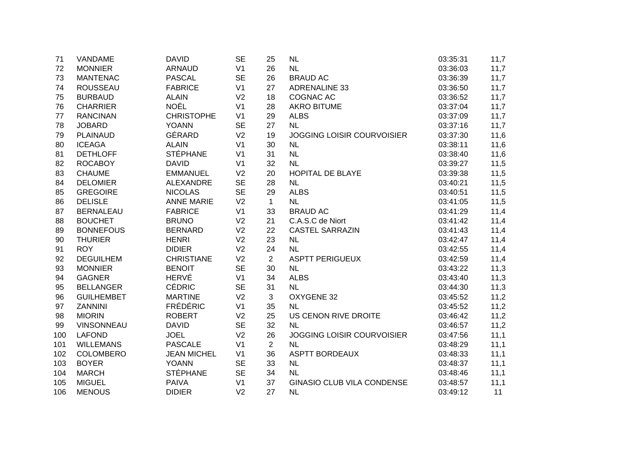| 71  | VANDAME           | <b>DAVID</b>       | <b>SE</b>      | 25             | <b>NL</b>                         | 03:35:31 | 11,7 |
|-----|-------------------|--------------------|----------------|----------------|-----------------------------------|----------|------|
| 72  | <b>MONNIER</b>    | <b>ARNAUD</b>      | V <sub>1</sub> | 26             | <b>NL</b>                         | 03:36:03 | 11,7 |
| 73  | <b>MANTENAC</b>   | <b>PASCAL</b>      | <b>SE</b>      | 26             | <b>BRAUD AC</b>                   | 03:36:39 | 11,7 |
| 74  | <b>ROUSSEAU</b>   | <b>FABRICE</b>     | V <sub>1</sub> | 27             | <b>ADRENALINE 33</b>              | 03:36:50 | 11,7 |
| 75  | <b>BURBAUD</b>    | <b>ALAIN</b>       | V <sub>2</sub> | 18             | COGNAC AC                         | 03:36:52 | 11,7 |
| 76  | <b>CHARRIER</b>   | <b>NOËL</b>        | V <sub>1</sub> | 28             | <b>AKRO BITUME</b>                | 03:37:04 | 11,7 |
| 77  | <b>RANCINAN</b>   | <b>CHRISTOPHE</b>  | V <sub>1</sub> | 29             | <b>ALBS</b>                       | 03:37:09 | 11,7 |
| 78  | <b>JOBARD</b>     | <b>YOANN</b>       | <b>SE</b>      | 27             | <b>NL</b>                         | 03:37:16 | 11,7 |
| 79  | <b>PLAINAUD</b>   | GÉRARD             | V <sub>2</sub> | 19             | <b>JOGGING LOISIR COURVOISIER</b> | 03:37:30 | 11,6 |
| 80  | <b>ICEAGA</b>     | <b>ALAIN</b>       | V <sub>1</sub> | 30             | <b>NL</b>                         | 03:38:11 | 11,6 |
| 81  | <b>DETHLOFF</b>   | <b>STÉPHANE</b>    | V <sub>1</sub> | 31             | <b>NL</b>                         | 03:38:40 | 11,6 |
| 82  | <b>ROCABOY</b>    | <b>DAVID</b>       | V <sub>1</sub> | 32             | <b>NL</b>                         | 03:39:27 | 11,5 |
| 83  | <b>CHAUME</b>     | <b>EMMANUEL</b>    | V <sub>2</sub> | 20             | <b>HOPITAL DE BLAYE</b>           | 03:39:38 | 11,5 |
| 84  | <b>DELOMIER</b>   | ALEXANDRE          | <b>SE</b>      | 28             | <b>NL</b>                         | 03:40:21 | 11,5 |
| 85  | <b>GREGOIRE</b>   | <b>NICOLAS</b>     | <b>SE</b>      | 29             | <b>ALBS</b>                       | 03:40:51 | 11,5 |
| 86  | <b>DELISLE</b>    | <b>ANNE MARIE</b>  | V <sub>2</sub> | $\mathbf{1}$   | <b>NL</b>                         | 03:41:05 | 11,5 |
| 87  | <b>BERNALEAU</b>  | <b>FABRICE</b>     | V <sub>1</sub> | 33             | <b>BRAUD AC</b>                   | 03:41:29 | 11,4 |
| 88  | <b>BOUCHET</b>    | <b>BRUNO</b>       | V <sub>2</sub> | 21             | C.A.S.C de Niort                  | 03:41:42 | 11,4 |
| 89  | <b>BONNEFOUS</b>  | <b>BERNARD</b>     | V <sub>2</sub> | 22             | <b>CASTEL SARRAZIN</b>            | 03:41:43 | 11,4 |
| 90  | <b>THURIER</b>    | <b>HENRI</b>       | V <sub>2</sub> | 23             | <b>NL</b>                         | 03:42:47 | 11,4 |
| 91  | <b>ROY</b>        | <b>DIDIER</b>      | V <sub>2</sub> | 24             | <b>NL</b>                         | 03:42:55 | 11,4 |
| 92  | <b>DEGUILHEM</b>  | <b>CHRISTIANE</b>  | V <sub>2</sub> | $\overline{2}$ | <b>ASPTT PERIGUEUX</b>            | 03:42:59 | 11,4 |
| 93  | <b>MONNIER</b>    | <b>BENOIT</b>      | <b>SE</b>      | 30             | <b>NL</b>                         | 03:43:22 | 11,3 |
| 94  | <b>GAGNER</b>     | <b>HERVÉ</b>       | V <sub>1</sub> | 34             | <b>ALBS</b>                       | 03:43:40 | 11,3 |
| 95  | <b>BELLANGER</b>  | <b>CÉDRIC</b>      | <b>SE</b>      | 31             | <b>NL</b>                         | 03:44:30 | 11,3 |
| 96  | <b>GUILHEMBET</b> | <b>MARTINE</b>     | V <sub>2</sub> | 3              | OXYGENE 32                        | 03:45:52 | 11,2 |
| 97  | <b>ZANNINI</b>    | <b>FRÉDÉRIC</b>    | V <sub>1</sub> | 35             | <b>NL</b>                         | 03:45:52 | 11,2 |
| 98  | <b>MIORIN</b>     | <b>ROBERT</b>      | V <sub>2</sub> | 25             | US CENON RIVE DROITE              | 03:46:42 | 11,2 |
| 99  | <b>VINSONNEAU</b> | <b>DAVID</b>       | <b>SE</b>      | 32             | <b>NL</b>                         | 03:46:57 | 11,2 |
| 100 | <b>LAFOND</b>     | <b>JOEL</b>        | V <sub>2</sub> | 26             | <b>JOGGING LOISIR COURVOISIER</b> | 03:47:56 | 11,1 |
| 101 | <b>WILLEMANS</b>  | <b>PASCALE</b>     | V <sub>1</sub> | $\overline{2}$ | <b>NL</b>                         | 03:48:29 | 11,1 |
| 102 | <b>COLOMBERO</b>  | <b>JEAN MICHEL</b> | V <sub>1</sub> | 36             | <b>ASPTT BORDEAUX</b>             | 03:48:33 | 11,1 |
| 103 | <b>BOYER</b>      | <b>YOANN</b>       | <b>SE</b>      | 33             | <b>NL</b>                         | 03:48:37 | 11,1 |
| 104 | <b>MARCH</b>      | <b>STÉPHANE</b>    | <b>SE</b>      | 34             | <b>NL</b>                         | 03:48:46 | 11,1 |
| 105 | <b>MIGUEL</b>     | <b>PAIVA</b>       | V <sub>1</sub> | 37             | <b>GINASIO CLUB VILA CONDENSE</b> | 03:48:57 | 11,1 |
| 106 | <b>MENOUS</b>     | <b>DIDIER</b>      | V <sub>2</sub> | 27             | <b>NL</b>                         | 03:49:12 | 11   |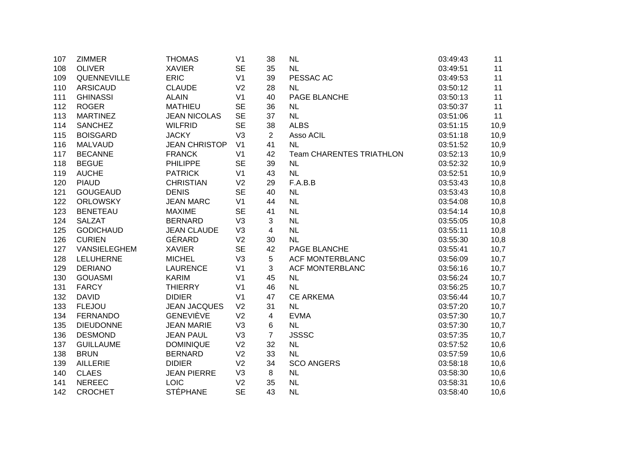| 107 | <b>ZIMMER</b>    | <b>THOMAS</b>        | V <sub>1</sub> | 38 | <b>NL</b>                       | 03:49:43 | 11   |
|-----|------------------|----------------------|----------------|----|---------------------------------|----------|------|
| 108 | <b>OLIVER</b>    | <b>XAVIER</b>        | <b>SE</b>      | 35 | <b>NL</b>                       | 03:49:51 | 11   |
| 109 | QUENNEVILLE      | <b>ERIC</b>          | V <sub>1</sub> | 39 | PESSAC AC                       | 03:49:53 | 11   |
| 110 | <b>ARSICAUD</b>  | <b>CLAUDE</b>        | V <sub>2</sub> | 28 | <b>NL</b>                       | 03:50:12 | 11   |
| 111 | <b>GHINASSI</b>  | <b>ALAIN</b>         | V <sub>1</sub> | 40 | PAGE BLANCHE                    | 03:50:13 | 11   |
| 112 | <b>ROGER</b>     | <b>MATHIEU</b>       | <b>SE</b>      | 36 | <b>NL</b>                       | 03:50:37 | 11   |
| 113 | <b>MARTINEZ</b>  | <b>JEAN NICOLAS</b>  | <b>SE</b>      | 37 | <b>NL</b>                       | 03:51:06 | 11   |
| 114 | <b>SANCHEZ</b>   | <b>WILFRID</b>       | <b>SE</b>      | 38 | <b>ALBS</b>                     | 03:51:15 | 10,9 |
| 115 | <b>BOISGARD</b>  | <b>JACKY</b>         | V <sub>3</sub> | 2  | Asso ACIL                       | 03:51:18 | 10,9 |
| 116 | <b>MALVAUD</b>   | <b>JEAN CHRISTOP</b> | V <sub>1</sub> | 41 | <b>NL</b>                       | 03:51:52 | 10,9 |
| 117 | <b>BECANNE</b>   | <b>FRANCK</b>        | V <sub>1</sub> | 42 | <b>Team CHARENTES TRIATHLON</b> | 03:52:13 | 10,9 |
| 118 | <b>BEGUE</b>     | <b>PHILIPPE</b>      | <b>SE</b>      | 39 | <b>NL</b>                       | 03:52:32 | 10,9 |
| 119 | <b>AUCHE</b>     | <b>PATRICK</b>       | V <sub>1</sub> | 43 | NL                              | 03:52:51 | 10,9 |
| 120 | <b>PIAUD</b>     | <b>CHRISTIAN</b>     | V <sub>2</sub> | 29 | F.A.B.B                         | 03:53:43 | 10,8 |
| 121 | <b>GOUGEAUD</b>  | <b>DENIS</b>         | <b>SE</b>      | 40 | <b>NL</b>                       | 03:53:43 | 10,8 |
| 122 | <b>ORLOWSKY</b>  | <b>JEAN MARC</b>     | V <sub>1</sub> | 44 | <b>NL</b>                       | 03:54:08 | 10,8 |
| 123 | <b>BENETEAU</b>  | <b>MAXIME</b>        | <b>SE</b>      | 41 | <b>NL</b>                       | 03:54:14 | 10,8 |
| 124 | <b>SALZAT</b>    | <b>BERNARD</b>       | V <sub>3</sub> | 3  | <b>NL</b>                       | 03:55:05 | 10,8 |
| 125 | <b>GODICHAUD</b> | <b>JEAN CLAUDE</b>   | V <sub>3</sub> | 4  | <b>NL</b>                       | 03:55:11 | 10,8 |
| 126 | <b>CURIEN</b>    | GÉRARD               | V <sub>2</sub> | 30 | <b>NL</b>                       | 03:55:30 | 10,8 |
| 127 | VANSIELEGHEM     | <b>XAVIER</b>        | <b>SE</b>      | 42 | PAGE BLANCHE                    | 03:55:41 | 10,7 |
| 128 | LELUHERNE        | <b>MICHEL</b>        | V <sub>3</sub> | 5  | <b>ACF MONTERBLANC</b>          | 03:56:09 | 10,7 |
| 129 | <b>DERIANO</b>   | <b>LAURENCE</b>      | V <sub>1</sub> | 3  | <b>ACF MONTERBLANC</b>          | 03:56:16 | 10,7 |
| 130 | <b>GOUASMI</b>   | <b>KARIM</b>         | V <sub>1</sub> | 45 | <b>NL</b>                       | 03:56:24 | 10,7 |
| 131 | <b>FARCY</b>     | <b>THIERRY</b>       | V <sub>1</sub> | 46 | <b>NL</b>                       | 03:56:25 | 10,7 |
| 132 | <b>DAVID</b>     | <b>DIDIER</b>        | V <sub>1</sub> | 47 | <b>CE ARKEMA</b>                | 03:56:44 | 10,7 |
| 133 | <b>FLEJOU</b>    | <b>JEAN JACQUES</b>  | V <sub>2</sub> | 31 | <b>NL</b>                       | 03:57:20 | 10,7 |
| 134 | <b>FERNANDO</b>  | <b>GENEVIÈVE</b>     | V <sub>2</sub> | 4  | <b>EVMA</b>                     | 03:57:30 | 10,7 |
| 135 | <b>DIEUDONNE</b> | <b>JEAN MARIE</b>    | V <sub>3</sub> | 6  | <b>NL</b>                       | 03:57:30 | 10,7 |
| 136 | <b>DESMOND</b>   | <b>JEAN PAUL</b>     | V <sub>3</sub> | 7  | <b>JSSSC</b>                    | 03:57:35 | 10,7 |
| 137 | <b>GUILLAUME</b> | <b>DOMINIQUE</b>     | V <sub>2</sub> | 32 | <b>NL</b>                       | 03:57:52 | 10,6 |
| 138 | <b>BRUN</b>      | <b>BERNARD</b>       | V <sub>2</sub> | 33 | <b>NL</b>                       | 03:57:59 | 10,6 |
| 139 | <b>AILLERIE</b>  | <b>DIDIER</b>        | V <sub>2</sub> | 34 | <b>SCO ANGERS</b>               | 03:58:18 | 10,6 |
| 140 | <b>CLAES</b>     | <b>JEAN PIERRE</b>   | V <sub>3</sub> | 8  | <b>NL</b>                       | 03:58:30 | 10,6 |
| 141 | <b>NEREEC</b>    | <b>LOIC</b>          | V <sub>2</sub> | 35 | <b>NL</b>                       | 03:58:31 | 10,6 |
| 142 | <b>CROCHET</b>   | <b>STÉPHANE</b>      | <b>SE</b>      | 43 | <b>NL</b>                       | 03:58:40 | 10,6 |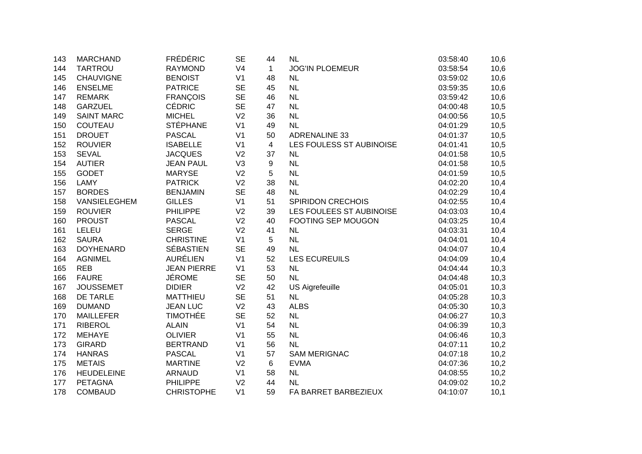| 143 | <b>MARCHAND</b>   | <b>FRÉDÉRIC</b>    | <b>SE</b>      | 44             | <b>NL</b>                | 03:58:40 | 10,6 |
|-----|-------------------|--------------------|----------------|----------------|--------------------------|----------|------|
| 144 | <b>TARTROU</b>    | <b>RAYMOND</b>     | V <sub>4</sub> | $\mathbf{1}$   | <b>JOG'IN PLOEMEUR</b>   | 03:58:54 | 10,6 |
| 145 | <b>CHAUVIGNE</b>  | <b>BENOIST</b>     | V <sub>1</sub> | 48             | <b>NL</b>                | 03:59:02 | 10,6 |
| 146 | <b>ENSELME</b>    | <b>PATRICE</b>     | <b>SE</b>      | 45             | <b>NL</b>                | 03:59:35 | 10,6 |
| 147 | <b>REMARK</b>     | <b>FRANÇOIS</b>    | <b>SE</b>      | 46             | <b>NL</b>                | 03:59:42 | 10,6 |
| 148 | <b>GARZUEL</b>    | <b>CÉDRIC</b>      | <b>SE</b>      | 47             | <b>NL</b>                | 04:00:48 | 10,5 |
| 149 | <b>SAINT MARC</b> | <b>MICHEL</b>      | V <sub>2</sub> | 36             | <b>NL</b>                | 04:00:56 | 10,5 |
| 150 | <b>COUTEAU</b>    | <b>STÉPHANE</b>    | V <sub>1</sub> | 49             | <b>NL</b>                | 04:01:29 | 10,5 |
| 151 | <b>DROUET</b>     | <b>PASCAL</b>      | V <sub>1</sub> | 50             | ADRENALINE 33            | 04:01:37 | 10,5 |
| 152 | <b>ROUVIER</b>    | <b>ISABELLE</b>    | V <sub>1</sub> | $\overline{4}$ | LES FOULESS ST AUBINOISE | 04:01:41 | 10,5 |
| 153 | <b>SEVAL</b>      | <b>JACQUES</b>     | V <sub>2</sub> | 37             | <b>NL</b>                | 04:01:58 | 10,5 |
| 154 | <b>AUTIER</b>     | <b>JEAN PAUL</b>   | V <sub>3</sub> | 9              | NL                       | 04:01:58 | 10,5 |
| 155 | <b>GODET</b>      | <b>MARYSE</b>      | V <sub>2</sub> | 5              | NL                       | 04:01:59 | 10,5 |
| 156 | LAMY              | <b>PATRICK</b>     | V <sub>2</sub> | 38             | <b>NL</b>                | 04:02:20 | 10,4 |
| 157 | <b>BORDES</b>     | <b>BENJAMIN</b>    | <b>SE</b>      | 48             | <b>NL</b>                | 04:02:29 | 10,4 |
| 158 | VANSIELEGHEM      | <b>GILLES</b>      | V <sub>1</sub> | 51             | <b>SPIRIDON CRECHOIS</b> | 04:02:55 | 10,4 |
| 159 | <b>ROUVIER</b>    | <b>PHILIPPE</b>    | V <sub>2</sub> | 39             | LES FOULEES ST AUBINOISE | 04:03:03 | 10,4 |
| 160 | <b>PROUST</b>     | <b>PASCAL</b>      | V <sub>2</sub> | 40             | FOOTING SEP MOUGON       | 04:03:25 | 10,4 |
| 161 | LELEU             | <b>SERGE</b>       | V <sub>2</sub> | 41             | <b>NL</b>                | 04:03:31 | 10,4 |
| 162 | <b>SAURA</b>      | <b>CHRISTINE</b>   | V <sub>1</sub> | 5              | NL                       | 04:04:01 | 10,4 |
| 163 | <b>DOYHENARD</b>  | <b>SÉBASTIEN</b>   | <b>SE</b>      | 49             | <b>NL</b>                | 04:04:07 | 10,4 |
| 164 | <b>AGNIMEL</b>    | <b>AURÉLIEN</b>    | V <sub>1</sub> | 52             | <b>LES ECUREUILS</b>     | 04:04:09 | 10,4 |
| 165 | <b>REB</b>        | <b>JEAN PIERRE</b> | V <sub>1</sub> | 53             | NL                       | 04:04:44 | 10,3 |
| 166 | <b>FAURE</b>      | <b>JÉROME</b>      | <b>SE</b>      | 50             | <b>NL</b>                | 04:04:48 | 10,3 |
| 167 | <b>JOUSSEMET</b>  | <b>DIDIER</b>      | V <sub>2</sub> | 42             | <b>US Aigrefeuille</b>   | 04:05:01 | 10,3 |
| 168 | <b>DE TARLE</b>   | <b>MATTHIEU</b>    | <b>SE</b>      | 51             | <b>NL</b>                | 04:05:28 | 10,3 |
| 169 | <b>DUMAND</b>     | <b>JEAN LUC</b>    | V <sub>2</sub> | 43             | <b>ALBS</b>              | 04:05:30 | 10,3 |
| 170 | <b>MAILLEFER</b>  | <b>TIMOTHÉE</b>    | <b>SE</b>      | 52             | <b>NL</b>                | 04:06:27 | 10,3 |
| 171 | <b>RIBEROL</b>    | <b>ALAIN</b>       | V <sub>1</sub> | 54             | NL                       | 04:06:39 | 10,3 |
| 172 | <b>MEHAYE</b>     | <b>OLIVIER</b>     | V <sub>1</sub> | 55             | <b>NL</b>                | 04:06:46 | 10,3 |
| 173 | <b>GIRARD</b>     | <b>BERTRAND</b>    | V <sub>1</sub> | 56             | <b>NL</b>                | 04:07:11 | 10,2 |
| 174 | <b>HANRAS</b>     | <b>PASCAL</b>      | V <sub>1</sub> | 57             | <b>SAM MERIGNAC</b>      | 04:07:18 | 10,2 |
| 175 | <b>METAIS</b>     | <b>MARTINE</b>     | V <sub>2</sub> | 6              | <b>EVMA</b>              | 04:07:36 | 10,2 |
| 176 | <b>HEUDELEINE</b> | <b>ARNAUD</b>      | V <sub>1</sub> | 58             | <b>NL</b>                | 04:08:55 | 10,2 |
| 177 | <b>PETAGNA</b>    | <b>PHILIPPE</b>    | V <sub>2</sub> | 44             | <b>NL</b>                | 04:09:02 | 10,2 |
| 178 | <b>COMBAUD</b>    | <b>CHRISTOPHE</b>  | V <sub>1</sub> | 59             | FA BARRET BARBEZIEUX     | 04:10:07 | 10,1 |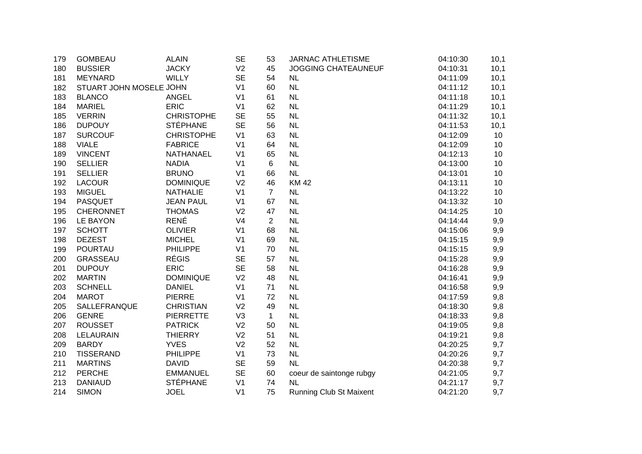| 179 | <b>GOMBEAU</b>          | <b>ALAIN</b>      | <b>SE</b>      | 53             | <b>JARNAC ATHLETISME</b>   | 04:10:30 | 10,1 |
|-----|-------------------------|-------------------|----------------|----------------|----------------------------|----------|------|
| 180 | <b>BUSSIER</b>          | <b>JACKY</b>      | V <sub>2</sub> | 45             | <b>JOGGING CHATEAUNEUF</b> | 04:10:31 | 10,1 |
| 181 | <b>MEYNARD</b>          | <b>WILLY</b>      | <b>SE</b>      | 54             | <b>NL</b>                  | 04:11:09 | 10,1 |
| 182 | STUART JOHN MOSELE JOHN |                   | V <sub>1</sub> | 60             | <b>NL</b>                  | 04:11:12 | 10,1 |
| 183 | <b>BLANCO</b>           | <b>ANGEL</b>      | V <sub>1</sub> | 61             | <b>NL</b>                  | 04:11:18 | 10,1 |
| 184 | <b>MARIEL</b>           | <b>ERIC</b>       | V <sub>1</sub> | 62             | <b>NL</b>                  | 04:11:29 | 10,1 |
| 185 | <b>VERRIN</b>           | <b>CHRISTOPHE</b> | <b>SE</b>      | 55             | <b>NL</b>                  | 04:11:32 | 10,1 |
| 186 | <b>DUPOUY</b>           | <b>STÉPHANE</b>   | <b>SE</b>      | 56             | <b>NL</b>                  | 04:11:53 | 10,1 |
| 187 | <b>SURCOUF</b>          | <b>CHRISTOPHE</b> | V <sub>1</sub> | 63             | <b>NL</b>                  | 04:12:09 | 10   |
| 188 | <b>VIALE</b>            | <b>FABRICE</b>    | V <sub>1</sub> | 64             | <b>NL</b>                  | 04:12:09 | 10   |
| 189 | <b>VINCENT</b>          | <b>NATHANAEL</b>  | V <sub>1</sub> | 65             | <b>NL</b>                  | 04:12:13 | 10   |
| 190 | <b>SELLIER</b>          | <b>NADIA</b>      | V <sub>1</sub> | 6              | <b>NL</b>                  | 04:13:00 | 10   |
| 191 | <b>SELLIER</b>          | <b>BRUNO</b>      | V <sub>1</sub> | 66             | NL                         | 04:13:01 | 10   |
| 192 | <b>LACOUR</b>           | <b>DOMINIQUE</b>  | V <sub>2</sub> | 46             | <b>KM42</b>                | 04:13:11 | 10   |
| 193 | <b>MIGUEL</b>           | <b>NATHALIE</b>   | V <sub>1</sub> | $\overline{7}$ | <b>NL</b>                  | 04:13:22 | 10   |
| 194 | <b>PASQUET</b>          | <b>JEAN PAUL</b>  | V <sub>1</sub> | 67             | <b>NL</b>                  | 04:13:32 | 10   |
| 195 | <b>CHERONNET</b>        | <b>THOMAS</b>     | V <sub>2</sub> | 47             | <b>NL</b>                  | 04:14:25 | 10   |
| 196 | <b>LE BAYON</b>         | <b>RENÉ</b>       | V <sub>4</sub> | 2              | NL                         | 04:14:44 | 9,9  |
| 197 | <b>SCHOTT</b>           | <b>OLIVIER</b>    | V <sub>1</sub> | 68             | <b>NL</b>                  | 04:15:06 | 9,9  |
| 198 | <b>DEZEST</b>           | <b>MICHEL</b>     | V <sub>1</sub> | 69             | <b>NL</b>                  | 04:15:15 | 9,9  |
| 199 | <b>POURTAU</b>          | <b>PHILIPPE</b>   | V <sub>1</sub> | 70             | <b>NL</b>                  | 04:15:15 | 9,9  |
| 200 | <b>GRASSEAU</b>         | <b>RÉGIS</b>      | <b>SE</b>      | 57             | <b>NL</b>                  | 04:15:28 | 9,9  |
| 201 | <b>DUPOUY</b>           | <b>ERIC</b>       | <b>SE</b>      | 58             | <b>NL</b>                  | 04:16:28 | 9,9  |
| 202 | <b>MARTIN</b>           | <b>DOMINIQUE</b>  | V <sub>2</sub> | 48             | <b>NL</b>                  | 04:16:41 | 9,9  |
| 203 | <b>SCHNELL</b>          | <b>DANIEL</b>     | V <sub>1</sub> | 71             | <b>NL</b>                  | 04:16:58 | 9,9  |
| 204 | <b>MAROT</b>            | <b>PIERRE</b>     | V <sub>1</sub> | 72             | <b>NL</b>                  | 04:17:59 | 9,8  |
| 205 | SALLEFRANQUE            | <b>CHRISTIAN</b>  | V <sub>2</sub> | 49             | <b>NL</b>                  | 04:18:30 | 9,8  |
| 206 | <b>GENRE</b>            | <b>PIERRETTE</b>  | V <sub>3</sub> | $\mathbf{1}$   | <b>NL</b>                  | 04:18:33 | 9,8  |
| 207 | <b>ROUSSET</b>          | <b>PATRICK</b>    | V <sub>2</sub> | 50             | <b>NL</b>                  | 04:19:05 | 9,8  |
| 208 | <b>LELAURAIN</b>        | <b>THIERRY</b>    | V <sub>2</sub> | 51             | <b>NL</b>                  | 04:19:21 | 9,8  |
| 209 | <b>BARDY</b>            | <b>YVES</b>       | V <sub>2</sub> | 52             | <b>NL</b>                  | 04:20:25 | 9,7  |
| 210 | <b>TISSERAND</b>        | <b>PHILIPPE</b>   | V <sub>1</sub> | 73             | <b>NL</b>                  | 04:20:26 | 9,7  |
| 211 | <b>MARTINS</b>          | <b>DAVID</b>      | <b>SE</b>      | 59             | <b>NL</b>                  | 04:20:38 | 9,7  |
| 212 | <b>PERCHE</b>           | <b>EMMANUEL</b>   | <b>SE</b>      | 60             | coeur de saintonge rubgy   | 04:21:05 | 9,7  |
| 213 | <b>DANIAUD</b>          | <b>STÉPHANE</b>   | V <sub>1</sub> | 74             | <b>NL</b>                  | 04:21:17 | 9,7  |
| 214 | <b>SIMON</b>            | <b>JOEL</b>       | V <sub>1</sub> | 75             | Running Club St Maixent    | 04:21:20 | 9,7  |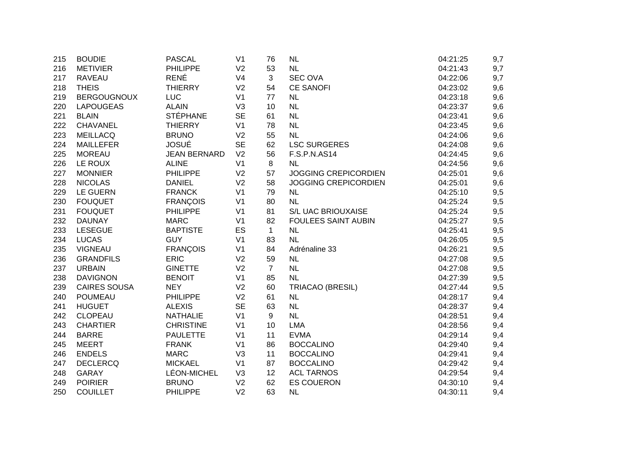| 215 | <b>BOUDIE</b>       | <b>PASCAL</b>       | V <sub>1</sub> | 76             | <b>NL</b>                   | 04:21:25 | 9,7 |
|-----|---------------------|---------------------|----------------|----------------|-----------------------------|----------|-----|
| 216 | <b>METIVIER</b>     | <b>PHILIPPE</b>     | V <sub>2</sub> | 53             | <b>NL</b>                   | 04:21:43 | 9,7 |
| 217 | <b>RAVEAU</b>       | <b>RENÉ</b>         | V <sub>4</sub> | $\mathbf{3}$   | <b>SEC OVA</b>              | 04:22:06 | 9,7 |
| 218 | <b>THEIS</b>        | <b>THIERRY</b>      | V <sub>2</sub> | 54             | <b>CE SANOFI</b>            | 04:23:02 | 9,6 |
| 219 | <b>BERGOUGNOUX</b>  | <b>LUC</b>          | V <sub>1</sub> | 77             | <b>NL</b>                   | 04:23:18 | 9,6 |
| 220 | <b>LAPOUGEAS</b>    | <b>ALAIN</b>        | V <sub>3</sub> | 10             | <b>NL</b>                   | 04:23:37 | 9,6 |
| 221 | <b>BLAIN</b>        | <b>STÉPHANE</b>     | <b>SE</b>      | 61             | <b>NL</b>                   | 04:23:41 | 9,6 |
| 222 | <b>CHAVANEL</b>     | <b>THIERRY</b>      | V <sub>1</sub> | 78             | <b>NL</b>                   | 04:23:45 | 9,6 |
| 223 | <b>MEILLACQ</b>     | <b>BRUNO</b>        | V <sub>2</sub> | 55             | <b>NL</b>                   | 04:24:06 | 9,6 |
| 224 | <b>MAILLEFER</b>    | <b>JOSUÉ</b>        | <b>SE</b>      | 62             | <b>LSC SURGERES</b>         | 04:24:08 | 9,6 |
| 225 | <b>MOREAU</b>       | <b>JEAN BERNARD</b> | V <sub>2</sub> | 56             | <b>F.S.P.N.AS14</b>         | 04:24:45 | 9,6 |
| 226 | LE ROUX             | <b>ALINE</b>        | V <sub>1</sub> | 8              | <b>NL</b>                   | 04:24:56 | 9,6 |
| 227 | <b>MONNIER</b>      | <b>PHILIPPE</b>     | V <sub>2</sub> | 57             | <b>JOGGING CREPICORDIEN</b> | 04:25:01 | 9,6 |
| 228 | <b>NICOLAS</b>      | <b>DANIEL</b>       | V <sub>2</sub> | 58             | <b>JOGGING CREPICORDIEN</b> | 04:25:01 | 9,6 |
| 229 | <b>LE GUERN</b>     | <b>FRANCK</b>       | V <sub>1</sub> | 79             | <b>NL</b>                   | 04:25:10 | 9,5 |
| 230 | <b>FOUQUET</b>      | <b>FRANÇOIS</b>     | V <sub>1</sub> | 80             | <b>NL</b>                   | 04:25:24 | 9,5 |
| 231 | <b>FOUQUET</b>      | <b>PHILIPPE</b>     | V <sub>1</sub> | 81             | S/L UAC BRIOUXAISE          | 04:25:24 | 9,5 |
| 232 | <b>DAUNAY</b>       | <b>MARC</b>         | V <sub>1</sub> | 82             | <b>FOULEES SAINT AUBIN</b>  | 04:25:27 | 9,5 |
| 233 | <b>LESEGUE</b>      | <b>BAPTISTE</b>     | ES             | $\mathbf{1}$   | <b>NL</b>                   | 04:25:41 | 9,5 |
| 234 | <b>LUCAS</b>        | <b>GUY</b>          | V <sub>1</sub> | 83             | <b>NL</b>                   | 04:26:05 | 9,5 |
| 235 | <b>VIGNEAU</b>      | <b>FRANÇOIS</b>     | V <sub>1</sub> | 84             | Adrénaline 33               | 04:26:21 | 9,5 |
| 236 | <b>GRANDFILS</b>    | <b>ERIC</b>         | V <sub>2</sub> | 59             | <b>NL</b>                   | 04:27:08 | 9,5 |
| 237 | <b>URBAIN</b>       | <b>GINETTE</b>      | V <sub>2</sub> | $\overline{7}$ | NL                          | 04:27:08 | 9,5 |
| 238 | <b>DAVIGNON</b>     | <b>BENOIT</b>       | V <sub>1</sub> | 85             | <b>NL</b>                   | 04:27:39 | 9,5 |
| 239 | <b>CAIRES SOUSA</b> | <b>NEY</b>          | V <sub>2</sub> | 60             | TRIACAO (BRESIL)            | 04:27:44 | 9,5 |
| 240 | POUMEAU             | <b>PHILIPPE</b>     | V <sub>2</sub> | 61             | <b>NL</b>                   | 04:28:17 | 9,4 |
| 241 | <b>HUGUET</b>       | <b>ALEXIS</b>       | <b>SE</b>      | 63             | <b>NL</b>                   | 04:28:37 | 9,4 |
| 242 | <b>CLOPEAU</b>      | <b>NATHALIE</b>     | V <sub>1</sub> | 9              | <b>NL</b>                   | 04:28:51 | 9,4 |
| 243 | <b>CHARTIER</b>     | <b>CHRISTINE</b>    | V <sub>1</sub> | 10             | <b>LMA</b>                  | 04:28:56 | 9,4 |
| 244 | <b>BARRE</b>        | <b>PAULETTE</b>     | V <sub>1</sub> | 11             | <b>EVMA</b>                 | 04:29:14 | 9,4 |
| 245 | <b>MEERT</b>        | <b>FRANK</b>        | V <sub>1</sub> | 86             | <b>BOCCALINO</b>            | 04:29:40 | 9,4 |
| 246 | <b>ENDELS</b>       | <b>MARC</b>         | V <sub>3</sub> | 11             | <b>BOCCALINO</b>            | 04:29:41 | 9,4 |
| 247 | <b>DECLERCQ</b>     | <b>MICKAEL</b>      | V <sub>1</sub> | 87             | <b>BOCCALINO</b>            | 04:29:42 | 9,4 |
| 248 | <b>GARAY</b>        | LÉON-MICHEL         | V <sub>3</sub> | 12             | <b>ACL TARNOS</b>           | 04:29:54 | 9,4 |
| 249 | <b>POIRIER</b>      | <b>BRUNO</b>        | V <sub>2</sub> | 62             | <b>ES COUERON</b>           | 04:30:10 | 9,4 |
| 250 | <b>COUILLET</b>     | <b>PHILIPPE</b>     | V <sub>2</sub> | 63             | <b>NL</b>                   | 04:30:11 | 9,4 |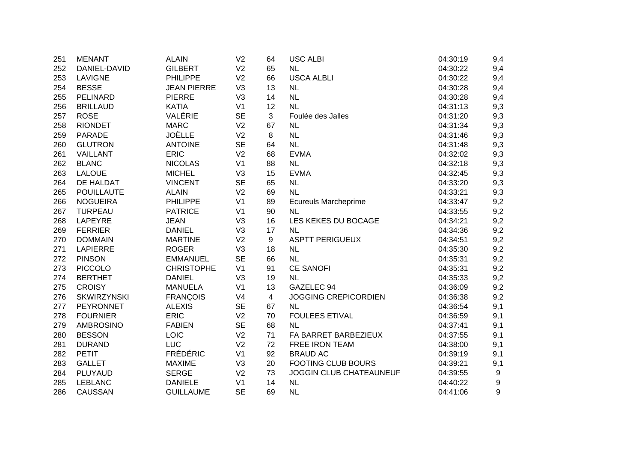| 251 | <b>MENANT</b>      | <b>ALAIN</b>       | V <sub>2</sub> | 64             | <b>USC ALBI</b>             | 04:30:19 | 9,4 |
|-----|--------------------|--------------------|----------------|----------------|-----------------------------|----------|-----|
| 252 | DANIEL-DAVID       | <b>GILBERT</b>     | V <sub>2</sub> | 65             | <b>NL</b>                   | 04:30:22 | 9,4 |
| 253 | <b>LAVIGNE</b>     | <b>PHILIPPE</b>    | V <sub>2</sub> | 66             | <b>USCA ALBLI</b>           | 04:30:22 | 9,4 |
| 254 | <b>BESSE</b>       | <b>JEAN PIERRE</b> | V <sub>3</sub> | 13             | <b>NL</b>                   | 04:30:28 | 9,4 |
| 255 | PELINARD           | <b>PIERRE</b>      | V <sub>3</sub> | 14             | <b>NL</b>                   | 04:30:28 | 9,4 |
| 256 | <b>BRILLAUD</b>    | <b>KATIA</b>       | V <sub>1</sub> | 12             | <b>NL</b>                   | 04:31:13 | 9,3 |
| 257 | <b>ROSE</b>        | VALÉRIE            | <b>SE</b>      | 3              | Foulée des Jalles           | 04:31:20 | 9,3 |
| 258 | <b>RIONDET</b>     | <b>MARC</b>        | V <sub>2</sub> | 67             | <b>NL</b>                   | 04:31:34 | 9,3 |
| 259 | PARADE             | <b>JOËLLE</b>      | V <sub>2</sub> | 8              | NL                          | 04:31:46 | 9,3 |
| 260 | <b>GLUTRON</b>     | <b>ANTOINE</b>     | <b>SE</b>      | 64             | NL                          | 04:31:48 | 9,3 |
| 261 | VAILLANT           | <b>ERIC</b>        | V <sub>2</sub> | 68             | <b>EVMA</b>                 | 04:32:02 | 9,3 |
| 262 | <b>BLANC</b>       | <b>NICOLAS</b>     | V <sub>1</sub> | 88             | NL                          | 04:32:18 | 9,3 |
| 263 | <b>LALOUE</b>      | <b>MICHEL</b>      | V <sub>3</sub> | 15             | <b>EVMA</b>                 | 04:32:45 | 9,3 |
| 264 | DE HALDAT          | <b>VINCENT</b>     | <b>SE</b>      | 65             | <b>NL</b>                   | 04:33:20 | 9,3 |
| 265 | <b>POUILLAUTE</b>  | <b>ALAIN</b>       | V <sub>2</sub> | 69             | <b>NL</b>                   | 04:33:21 | 9,3 |
| 266 | <b>NOGUEIRA</b>    | <b>PHILIPPE</b>    | V <sub>1</sub> | 89             | <b>Ecureuls Marcheprime</b> | 04:33:47 | 9,2 |
| 267 | TURPEAU            | <b>PATRICE</b>     | V <sub>1</sub> | 90             | <b>NL</b>                   | 04:33:55 | 9,2 |
| 268 | LAPEYRE            | <b>JEAN</b>        | V <sub>3</sub> | 16             | LES KEKES DU BOCAGE         | 04:34:21 | 9,2 |
| 269 | <b>FERRIER</b>     | <b>DANIEL</b>      | V <sub>3</sub> | 17             | <b>NL</b>                   | 04:34:36 | 9,2 |
| 270 | <b>DOMMAIN</b>     | <b>MARTINE</b>     | V <sub>2</sub> | 9              | <b>ASPTT PERIGUEUX</b>      | 04:34:51 | 9,2 |
| 271 | <b>LAPIERRE</b>    | <b>ROGER</b>       | V <sub>3</sub> | 18             | NL                          | 04:35:30 | 9,2 |
| 272 | <b>PINSON</b>      | <b>EMMANUEL</b>    | <b>SE</b>      | 66             | <b>NL</b>                   | 04:35:31 | 9,2 |
| 273 | <b>PICCOLO</b>     | <b>CHRISTOPHE</b>  | V <sub>1</sub> | 91             | <b>CE SANOFI</b>            | 04:35:31 | 9,2 |
| 274 | <b>BERTHET</b>     | <b>DANIEL</b>      | V <sub>3</sub> | 19             | NL                          | 04:35:33 | 9,2 |
| 275 | <b>CROISY</b>      | <b>MANUELA</b>     | V <sub>1</sub> | 13             | GAZELEC 94                  | 04:36:09 | 9,2 |
| 276 | <b>SKWIRZYNSKI</b> | <b>FRANÇOIS</b>    | V <sub>4</sub> | $\overline{4}$ | <b>JOGGING CREPICORDIEN</b> | 04:36:38 | 9,2 |
| 277 | PEYRONNET          | <b>ALEXIS</b>      | <b>SE</b>      | 67             | <b>NL</b>                   | 04:36:54 | 9,1 |
| 278 | <b>FOURNIER</b>    | <b>ERIC</b>        | V <sub>2</sub> | 70             | <b>FOULEES ETIVAL</b>       | 04:36:59 | 9,1 |
| 279 | <b>AMBROSINO</b>   | <b>FABIEN</b>      | <b>SE</b>      | 68             | <b>NL</b>                   | 04:37:41 | 9,1 |
| 280 | <b>BESSON</b>      | LOIC               | V <sub>2</sub> | 71             | FA BARRET BARBEZIEUX        | 04:37:55 | 9,1 |
| 281 | <b>DURAND</b>      | <b>LUC</b>         | V <sub>2</sub> | 72             | <b>FREE IRON TEAM</b>       | 04:38:00 | 9,1 |
| 282 | <b>PETIT</b>       | <b>FRÉDÉRIC</b>    | V <sub>1</sub> | 92             | <b>BRAUD AC</b>             | 04:39:19 | 9,1 |
| 283 | <b>GALLET</b>      | <b>MAXIME</b>      | V <sub>3</sub> | 20             | <b>FOOTING CLUB BOURS</b>   | 04:39:21 | 9,1 |
| 284 | PLUYAUD            | <b>SERGE</b>       | V <sub>2</sub> | 73             | JOGGIN CLUB CHATEAUNEUF     | 04:39:55 | 9   |
| 285 | <b>LEBLANC</b>     | <b>DANIELE</b>     | V <sub>1</sub> | 14             | NL                          | 04:40:22 | 9   |
| 286 | <b>CAUSSAN</b>     | <b>GUILLAUME</b>   | <b>SE</b>      | 69             | <b>NL</b>                   | 04:41:06 | 9   |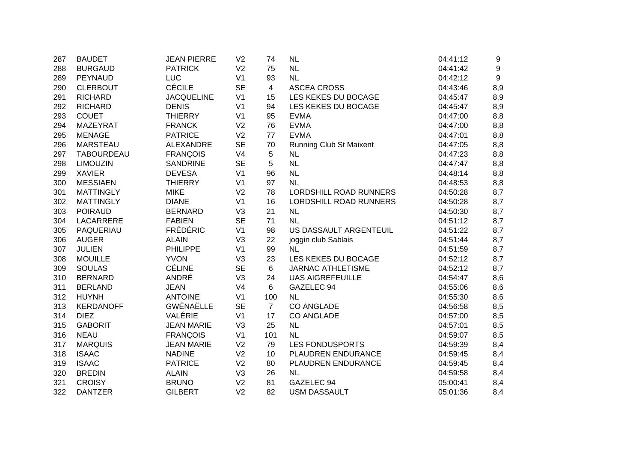| 287 | <b>BAUDET</b>     | <b>JEAN PIERRE</b> | V <sub>2</sub> | 74             | <b>NL</b>                      | 04:41:12 | 9   |
|-----|-------------------|--------------------|----------------|----------------|--------------------------------|----------|-----|
| 288 | <b>BURGAUD</b>    | <b>PATRICK</b>     | V <sub>2</sub> | 75             | <b>NL</b>                      | 04:41:42 | 9   |
| 289 | <b>PEYNAUD</b>    | <b>LUC</b>         | V <sub>1</sub> | 93             | <b>NL</b>                      | 04:42:12 | 9   |
| 290 | <b>CLERBOUT</b>   | <b>CÉCILE</b>      | <b>SE</b>      | $\overline{4}$ | <b>ASCEA CROSS</b>             | 04:43:46 | 8,9 |
| 291 | <b>RICHARD</b>    | <b>JACQUELINE</b>  | V <sub>1</sub> | 15             | LES KEKES DU BOCAGE            | 04:45:47 | 8,9 |
| 292 | <b>RICHARD</b>    | <b>DENIS</b>       | V <sub>1</sub> | 94             | LES KEKES DU BOCAGE            | 04:45:47 | 8,9 |
| 293 | <b>COUET</b>      | <b>THIERRY</b>     | V <sub>1</sub> | 95             | <b>EVMA</b>                    | 04:47:00 | 8,8 |
| 294 | <b>MAZEYRAT</b>   | <b>FRANCK</b>      | V <sub>2</sub> | 76             | <b>EVMA</b>                    | 04:47:00 | 8,8 |
| 295 | <b>MENAGE</b>     | <b>PATRICE</b>     | V <sub>2</sub> | 77             | <b>EVMA</b>                    | 04:47:01 | 8,8 |
| 296 | <b>MARSTEAU</b>   | ALEXANDRE          | <b>SE</b>      | 70             | <b>Running Club St Maixent</b> | 04:47:05 | 8,8 |
| 297 | <b>TABOURDEAU</b> | <b>FRANÇOIS</b>    | V <sub>4</sub> | 5              | <b>NL</b>                      | 04:47:23 | 8,8 |
| 298 | <b>LIMOUZIN</b>   | <b>SANDRINE</b>    | <b>SE</b>      | 5              | NL                             | 04:47:47 | 8,8 |
| 299 | <b>XAVIER</b>     | <b>DEVESA</b>      | V <sub>1</sub> | 96             | <b>NL</b>                      | 04:48:14 | 8,8 |
| 300 | <b>MESSIAEN</b>   | <b>THIERRY</b>     | V <sub>1</sub> | 97             | <b>NL</b>                      | 04:48:53 | 8,8 |
| 301 | <b>MATTINGLY</b>  | <b>MIKE</b>        | V <sub>2</sub> | 78             | LORDSHILL ROAD RUNNERS         | 04:50:28 | 8,7 |
| 302 | <b>MATTINGLY</b>  | <b>DIANE</b>       | V <sub>1</sub> | 16             | LORDSHILL ROAD RUNNERS         | 04:50:28 | 8,7 |
| 303 | <b>POIRAUD</b>    | <b>BERNARD</b>     | V <sub>3</sub> | 21             | <b>NL</b>                      | 04:50:30 | 8,7 |
| 304 | LACARRERE         | <b>FABIEN</b>      | <b>SE</b>      | 71             | <b>NL</b>                      | 04:51:12 | 8,7 |
| 305 | PAQUERIAU         | <b>FRÉDÉRIC</b>    | V <sub>1</sub> | 98             | US DASSAULT ARGENTEUIL         | 04:51:22 | 8,7 |
| 306 | <b>AUGER</b>      | <b>ALAIN</b>       | V <sub>3</sub> | 22             | joggin club Sablais            | 04:51:44 | 8,7 |
| 307 | <b>JULIEN</b>     | <b>PHILIPPE</b>    | V <sub>1</sub> | 99             | <b>NL</b>                      | 04:51:59 | 8,7 |
| 308 | <b>MOUILLE</b>    | <b>YVON</b>        | V <sub>3</sub> | 23             | LES KEKES DU BOCAGE            | 04:52:12 | 8,7 |
| 309 | <b>SOULAS</b>     | <b>CÉLINE</b>      | <b>SE</b>      | $\,6\,$        | <b>JARNAC ATHLETISME</b>       | 04:52:12 | 8,7 |
| 310 | <b>BERNARD</b>    | ANDRÉ              | V <sub>3</sub> | 24             | <b>UAS AIGREFEUILLE</b>        | 04:54:47 | 8,6 |
| 311 | <b>BERLAND</b>    | <b>JEAN</b>        | V <sub>4</sub> | 6              | GAZELEC 94                     | 04:55:06 | 8,6 |
| 312 | <b>HUYNH</b>      | <b>ANTOINE</b>     | V <sub>1</sub> | 100            | NL                             | 04:55:30 | 8,6 |
| 313 | <b>KERDANOFF</b>  | <b>GWÉNAËLLE</b>   | <b>SE</b>      | $\overline{7}$ | <b>CO ANGLADE</b>              | 04:56:58 | 8,5 |
| 314 | <b>DIEZ</b>       | VALÉRIE            | V <sub>1</sub> | 17             | <b>CO ANGLADE</b>              | 04:57:00 | 8,5 |
| 315 | <b>GABORIT</b>    | <b>JEAN MARIE</b>  | V <sub>3</sub> | 25             | <b>NL</b>                      | 04:57:01 | 8,5 |
| 316 | <b>NEAU</b>       | <b>FRANÇOIS</b>    | V <sub>1</sub> | 101            | <b>NL</b>                      | 04:59:07 | 8,5 |
| 317 | <b>MARQUIS</b>    | <b>JEAN MARIE</b>  | V <sub>2</sub> | 79             | <b>LES FONDUSPORTS</b>         | 04:59:39 | 8,4 |
| 318 | <b>ISAAC</b>      | <b>NADINE</b>      | V <sub>2</sub> | 10             | PLAUDREN ENDURANCE             | 04:59:45 | 8,4 |
| 319 | <b>ISAAC</b>      | <b>PATRICE</b>     | V <sub>2</sub> | 80             | PLAUDREN ENDURANCE             | 04:59:45 | 8,4 |
| 320 | <b>BREDIN</b>     | <b>ALAIN</b>       | V <sub>3</sub> | 26             | <b>NL</b>                      | 04:59:58 | 8,4 |
| 321 | <b>CROISY</b>     | <b>BRUNO</b>       | V <sub>2</sub> | 81             | GAZELEC 94                     | 05:00:41 | 8,4 |
| 322 | <b>DANTZER</b>    | <b>GILBERT</b>     | V <sub>2</sub> | 82             | <b>USM DASSAULT</b>            | 05:01:36 | 8,4 |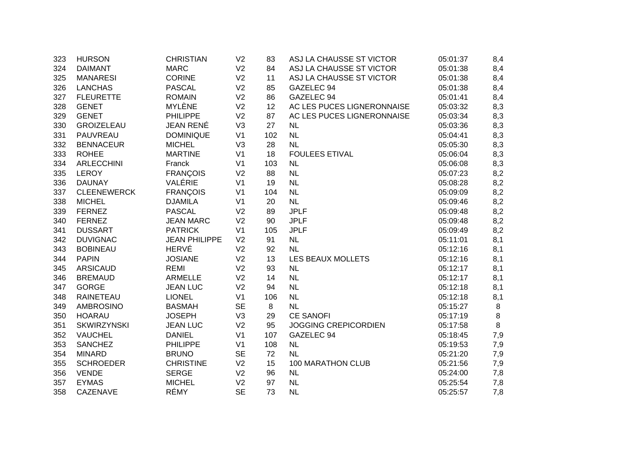| 323 | <b>HURSON</b>      | <b>CHRISTIAN</b>     | V <sub>2</sub> | 83  | ASJ LA CHAUSSE ST VICTOR    | 05:01:37 | 8,4 |
|-----|--------------------|----------------------|----------------|-----|-----------------------------|----------|-----|
| 324 | <b>DAIMANT</b>     | <b>MARC</b>          | V <sub>2</sub> | 84  | ASJ LA CHAUSSE ST VICTOR    | 05:01:38 | 8,4 |
| 325 | <b>MANARESI</b>    | <b>CORINE</b>        | V <sub>2</sub> | 11  | ASJ LA CHAUSSE ST VICTOR    | 05:01:38 | 8,4 |
| 326 | <b>LANCHAS</b>     | <b>PASCAL</b>        | V <sub>2</sub> | 85  | GAZELEC 94                  | 05:01:38 | 8,4 |
| 327 | <b>FLEURETTE</b>   | <b>ROMAIN</b>        | V <sub>2</sub> | 86  | GAZELEC 94                  | 05:01:41 | 8,4 |
| 328 | <b>GENET</b>       | MYLÈNE               | V <sub>2</sub> | 12  | AC LES PUCES LIGNERONNAISE  | 05:03:32 | 8,3 |
| 329 | <b>GENET</b>       | <b>PHILIPPE</b>      | V <sub>2</sub> | 87  | AC LES PUCES LIGNERONNAISE  | 05:03:34 | 8,3 |
| 330 | <b>GROIZELEAU</b>  | <b>JEAN RENÉ</b>     | V3             | 27  | <b>NL</b>                   | 05:03:36 | 8,3 |
| 331 | PAUVREAU           | <b>DOMINIQUE</b>     | V <sub>1</sub> | 102 | <b>NL</b>                   | 05:04:41 | 8,3 |
| 332 | <b>BENNACEUR</b>   | <b>MICHEL</b>        | V <sub>3</sub> | 28  | <b>NL</b>                   | 05:05:30 | 8,3 |
| 333 | <b>ROHEE</b>       | <b>MARTINE</b>       | V <sub>1</sub> | 18  | <b>FOULEES ETIVAL</b>       | 05:06:04 | 8,3 |
| 334 | <b>ARLECCHINI</b>  | Franck               | V <sub>1</sub> | 103 | <b>NL</b>                   | 05:06:08 | 8,3 |
| 335 | <b>LEROY</b>       | <b>FRANÇOIS</b>      | V <sub>2</sub> | 88  | NL                          | 05:07:23 | 8,2 |
| 336 | <b>DAUNAY</b>      | VALÉRIE              | V <sub>1</sub> | 19  | <b>NL</b>                   | 05:08:28 | 8,2 |
| 337 | <b>CLEENEWERCK</b> | <b>FRANÇOIS</b>      | V <sub>1</sub> | 104 | <b>NL</b>                   | 05:09:09 | 8,2 |
| 338 | <b>MICHEL</b>      | <b>DJAMILA</b>       | V <sub>1</sub> | 20  | <b>NL</b>                   | 05:09:46 | 8,2 |
| 339 | <b>FERNEZ</b>      | <b>PASCAL</b>        | V <sub>2</sub> | 89  | <b>JPLF</b>                 | 05:09:48 | 8,2 |
| 340 | <b>FERNEZ</b>      | <b>JEAN MARC</b>     | V <sub>2</sub> | 90  | <b>JPLF</b>                 | 05:09:48 | 8,2 |
| 341 | <b>DUSSART</b>     | <b>PATRICK</b>       | V <sub>1</sub> | 105 | <b>JPLF</b>                 | 05:09:49 | 8,2 |
| 342 | <b>DUVIGNAC</b>    | <b>JEAN PHILIPPE</b> | V <sub>2</sub> | 91  | <b>NL</b>                   | 05:11:01 | 8,1 |
| 343 | <b>BOBINEAU</b>    | <b>HERVÉ</b>         | V <sub>2</sub> | 92  | <b>NL</b>                   | 05:12:16 | 8,1 |
| 344 | <b>PAPIN</b>       | <b>JOSIANE</b>       | V <sub>2</sub> | 13  | LES BEAUX MOLLETS           | 05:12:16 | 8,1 |
| 345 | <b>ARSICAUD</b>    | <b>REMI</b>          | V <sub>2</sub> | 93  | <b>NL</b>                   | 05:12:17 | 8,1 |
| 346 | <b>BREMAUD</b>     | <b>ARMELLE</b>       | V <sub>2</sub> | 14  | <b>NL</b>                   | 05:12:17 | 8,1 |
| 347 | <b>GORGE</b>       | <b>JEAN LUC</b>      | V <sub>2</sub> | 94  | <b>NL</b>                   | 05:12:18 | 8,1 |
| 348 | <b>RAINETEAU</b>   | <b>LIONEL</b>        | V <sub>1</sub> | 106 | <b>NL</b>                   | 05:12:18 | 8,1 |
| 349 | <b>AMBROSINO</b>   | <b>BASMAH</b>        | <b>SE</b>      | 8   | <b>NL</b>                   | 05:15:27 | 8   |
| 350 | <b>HOARAU</b>      | <b>JOSEPH</b>        | V <sub>3</sub> | 29  | <b>CE SANOFI</b>            | 05:17:19 | 8   |
| 351 | <b>SKWIRZYNSKI</b> | <b>JEAN LUC</b>      | V <sub>2</sub> | 95  | <b>JOGGING CREPICORDIEN</b> | 05:17:58 | 8   |
| 352 | <b>VAUCHEL</b>     | <b>DANIEL</b>        | V <sub>1</sub> | 107 | GAZELEC 94                  | 05:18:45 | 7,9 |
| 353 | <b>SANCHEZ</b>     | <b>PHILIPPE</b>      | V <sub>1</sub> | 108 | <b>NL</b>                   | 05:19:53 | 7,9 |
| 354 | <b>MINARD</b>      | <b>BRUNO</b>         | <b>SE</b>      | 72  | <b>NL</b>                   | 05:21:20 | 7,9 |
| 355 | <b>SCHROEDER</b>   | <b>CHRISTINE</b>     | V <sub>2</sub> | 15  | 100 MARATHON CLUB           | 05:21:56 | 7,9 |
| 356 | <b>VENDE</b>       | <b>SERGE</b>         | V <sub>2</sub> | 96  | <b>NL</b>                   | 05:24:00 | 7,8 |
| 357 | <b>EYMAS</b>       | <b>MICHEL</b>        | V <sub>2</sub> | 97  | <b>NL</b>                   | 05:25:54 | 7,8 |
| 358 | CAZENAVE           | RÉMY                 | <b>SE</b>      | 73  | <b>NL</b>                   | 05:25:57 | 7,8 |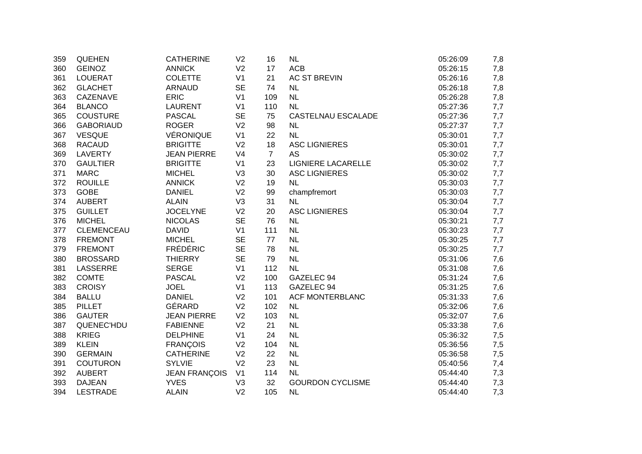| 359 | <b>QUEHEN</b>     | <b>CATHERINE</b>     | V <sub>2</sub> | 16             | NL                      | 05:26:09 | 7,8 |
|-----|-------------------|----------------------|----------------|----------------|-------------------------|----------|-----|
| 360 | <b>GEINOZ</b>     | <b>ANNICK</b>        | V <sub>2</sub> | 17             | <b>ACB</b>              | 05:26:15 | 7,8 |
| 361 | <b>LOUERAT</b>    | <b>COLETTE</b>       | V <sub>1</sub> | 21             | <b>AC ST BREVIN</b>     | 05:26:16 | 7,8 |
| 362 | <b>GLACHET</b>    | <b>ARNAUD</b>        | <b>SE</b>      | 74             | <b>NL</b>               | 05:26:18 | 7,8 |
| 363 | CAZENAVE          | <b>ERIC</b>          | V <sub>1</sub> | 109            | <b>NL</b>               | 05:26:28 | 7,8 |
| 364 | <b>BLANCO</b>     | <b>LAURENT</b>       | V <sub>1</sub> | 110            | <b>NL</b>               | 05:27:36 | 7,7 |
| 365 | <b>COUSTURE</b>   | <b>PASCAL</b>        | <b>SE</b>      | 75             | CASTELNAU ESCALADE      | 05:27:36 | 7,7 |
| 366 | <b>GABORIAUD</b>  | <b>ROGER</b>         | V <sub>2</sub> | 98             | <b>NL</b>               | 05:27:37 | 7,7 |
| 367 | <b>VESQUE</b>     | VÉRONIQUE            | V <sub>1</sub> | 22             | <b>NL</b>               | 05:30:01 | 7,7 |
| 368 | <b>RACAUD</b>     | <b>BRIGITTE</b>      | V <sub>2</sub> | 18             | <b>ASC LIGNIERES</b>    | 05:30:01 | 7,7 |
| 369 | LAVERTY           | <b>JEAN PIERRE</b>   | V <sub>4</sub> | $\overline{7}$ | <b>AS</b>               | 05:30:02 | 7,7 |
| 370 | <b>GAULTIER</b>   | <b>BRIGITTE</b>      | V <sub>1</sub> | 23             | LIGNIERE LACARELLE      | 05:30:02 | 7,7 |
| 371 | <b>MARC</b>       | <b>MICHEL</b>        | V <sub>3</sub> | 30             | <b>ASC LIGNIERES</b>    | 05:30:02 | 7,7 |
| 372 | <b>ROUILLE</b>    | <b>ANNICK</b>        | V <sub>2</sub> | 19             | <b>NL</b>               | 05:30:03 | 7,7 |
| 373 | <b>GOBE</b>       | <b>DANIEL</b>        | V <sub>2</sub> | 99             | champfremort            | 05:30:03 | 7,7 |
| 374 | <b>AUBERT</b>     | <b>ALAIN</b>         | V <sub>3</sub> | 31             | <b>NL</b>               | 05:30:04 | 7,7 |
| 375 | <b>GUILLET</b>    | <b>JOCELYNE</b>      | V <sub>2</sub> | 20             | <b>ASC LIGNIERES</b>    | 05:30:04 | 7,7 |
| 376 | <b>MICHEL</b>     | <b>NICOLAS</b>       | <b>SE</b>      | 76             | <b>NL</b>               | 05:30:21 | 7,7 |
| 377 | <b>CLEMENCEAU</b> | <b>DAVID</b>         | V <sub>1</sub> | 111            | <b>NL</b>               | 05:30:23 | 7,7 |
| 378 | <b>FREMONT</b>    | <b>MICHEL</b>        | <b>SE</b>      | 77             | <b>NL</b>               | 05:30:25 | 7,7 |
| 379 | <b>FREMONT</b>    | <b>FRÉDÉRIC</b>      | <b>SE</b>      | 78             | <b>NL</b>               | 05:30:25 | 7,7 |
| 380 | <b>BROSSARD</b>   | <b>THIERRY</b>       | <b>SE</b>      | 79             | <b>NL</b>               | 05:31:06 | 7,6 |
| 381 | LASSERRE          | <b>SERGE</b>         | V <sub>1</sub> | 112            | <b>NL</b>               | 05:31:08 | 7,6 |
| 382 | <b>COMTE</b>      | <b>PASCAL</b>        | V <sub>2</sub> | 100            | GAZELEC 94              | 05:31:24 | 7,6 |
| 383 | <b>CROISY</b>     | <b>JOEL</b>          | V <sub>1</sub> | 113            | GAZELEC 94              | 05:31:25 | 7,6 |
| 384 | <b>BALLU</b>      | <b>DANIEL</b>        | V <sub>2</sub> | 101            | <b>ACF MONTERBLANC</b>  | 05:31:33 | 7,6 |
| 385 | <b>PILLET</b>     | GÉRARD               | V <sub>2</sub> | 102            | <b>NL</b>               | 05:32:06 | 7,6 |
| 386 | <b>GAUTER</b>     | <b>JEAN PIERRE</b>   | V <sub>2</sub> | 103            | <b>NL</b>               | 05:32:07 | 7,6 |
| 387 | QUENEC'HDU        | <b>FABIENNE</b>      | V <sub>2</sub> | 21             | <b>NL</b>               | 05:33:38 | 7,6 |
| 388 | <b>KRIEG</b>      | <b>DELPHINE</b>      | V <sub>1</sub> | 24             | <b>NL</b>               | 05:36:32 | 7,5 |
| 389 | <b>KLEIN</b>      | <b>FRANÇOIS</b>      | V <sub>2</sub> | 104            | <b>NL</b>               | 05:36:56 | 7,5 |
| 390 | <b>GERMAIN</b>    | <b>CATHERINE</b>     | V <sub>2</sub> | 22             | <b>NL</b>               | 05:36:58 | 7,5 |
| 391 | <b>COUTURON</b>   | <b>SYLVIE</b>        | V <sub>2</sub> | 23             | <b>NL</b>               | 05:40:56 | 7,4 |
| 392 | <b>AUBERT</b>     | <b>JEAN FRANÇOIS</b> | V <sub>1</sub> | 114            | <b>NL</b>               | 05:44:40 | 7,3 |
| 393 | <b>DAJEAN</b>     | <b>YVES</b>          | V <sub>3</sub> | 32             | <b>GOURDON CYCLISME</b> | 05:44:40 | 7,3 |
| 394 | <b>LESTRADE</b>   | <b>ALAIN</b>         | V <sub>2</sub> | 105            | <b>NL</b>               | 05:44:40 | 7,3 |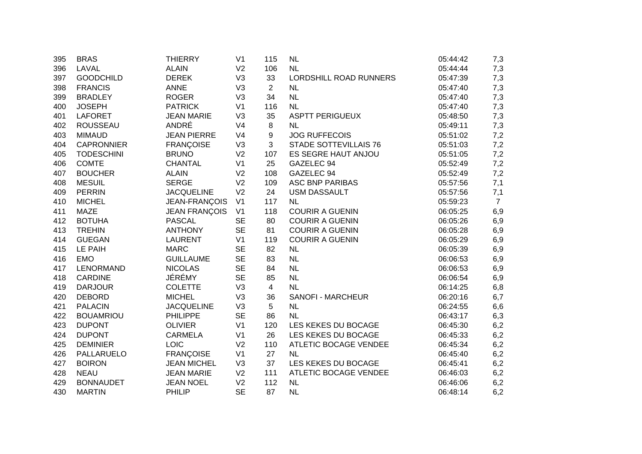| 395 | <b>BRAS</b>       | <b>THIERRY</b>       | V <sub>1</sub> | 115            | NL                           | 05:44:42 | 7,3            |
|-----|-------------------|----------------------|----------------|----------------|------------------------------|----------|----------------|
| 396 | LAVAL             | <b>ALAIN</b>         | V <sub>2</sub> | 106            | NL                           | 05:44:44 | 7,3            |
| 397 | <b>GOODCHILD</b>  | <b>DEREK</b>         | V <sub>3</sub> | 33             | LORDSHILL ROAD RUNNERS       | 05:47:39 | 7,3            |
| 398 | <b>FRANCIS</b>    | <b>ANNE</b>          | V <sub>3</sub> | $\overline{2}$ | <b>NL</b>                    | 05:47:40 | 7,3            |
| 399 | <b>BRADLEY</b>    | <b>ROGER</b>         | V <sub>3</sub> | 34             | NL                           | 05:47:40 | 7,3            |
| 400 | <b>JOSEPH</b>     | <b>PATRICK</b>       | V <sub>1</sub> | 116            | <b>NL</b>                    | 05:47:40 | 7,3            |
| 401 | <b>LAFORET</b>    | <b>JEAN MARIE</b>    | V3             | 35             | <b>ASPTT PERIGUEUX</b>       | 05:48:50 | 7,3            |
| 402 | <b>ROUSSEAU</b>   | ANDRÉ                | V <sub>4</sub> | 8              | <b>NL</b>                    | 05:49:11 | 7,3            |
| 403 | <b>MIMAUD</b>     | <b>JEAN PIERRE</b>   | V <sub>4</sub> | 9              | <b>JOG RUFFECOIS</b>         | 05:51:02 | 7,2            |
| 404 | <b>CAPRONNIER</b> | <b>FRANÇOISE</b>     | V <sub>3</sub> | 3              | <b>STADE SOTTEVILLAIS 76</b> | 05:51:03 | 7,2            |
| 405 | <b>TODESCHINI</b> | <b>BRUNO</b>         | V <sub>2</sub> | 107            | ES SEGRE HAUT ANJOU          | 05:51:05 | 7,2            |
| 406 | <b>COMTE</b>      | CHANTAL              | V <sub>1</sub> | 25             | GAZELEC 94                   | 05:52:49 | 7,2            |
| 407 | <b>BOUCHER</b>    | <b>ALAIN</b>         | V <sub>2</sub> | 108            | GAZELEC 94                   | 05:52:49 | 7,2            |
| 408 | <b>MESUIL</b>     | <b>SERGE</b>         | V <sub>2</sub> | 109            | <b>ASC BNP PARIBAS</b>       | 05:57:56 | 7,1            |
| 409 | <b>PERRIN</b>     | <b>JACQUELINE</b>    | V <sub>2</sub> | 24             | <b>USM DASSAULT</b>          | 05:57:56 | 7,1            |
| 410 | <b>MICHEL</b>     | JEAN-FRANÇOIS        | V <sub>1</sub> | 117            | NL                           | 05:59:23 | $\overline{7}$ |
| 411 | <b>MAZE</b>       | <b>JEAN FRANÇOIS</b> | V <sub>1</sub> | 118            | <b>COURIR A GUENIN</b>       | 06:05:25 | 6,9            |
| 412 | <b>BOTUHA</b>     | <b>PASCAL</b>        | <b>SE</b>      | 80             | <b>COURIR A GUENIN</b>       | 06:05:26 | 6,9            |
| 413 | <b>TREHIN</b>     | <b>ANTHONY</b>       | <b>SE</b>      | 81             | <b>COURIR A GUENIN</b>       | 06:05:28 | 6,9            |
| 414 | <b>GUEGAN</b>     | <b>LAURENT</b>       | V <sub>1</sub> | 119            | <b>COURIR A GUENIN</b>       | 06:05:29 | 6,9            |
| 415 | LE PAIH           | <b>MARC</b>          | <b>SE</b>      | 82             | <b>NL</b>                    | 06:05:39 | 6,9            |
| 416 | <b>EMO</b>        | <b>GUILLAUME</b>     | <b>SE</b>      | 83             | NL                           | 06:06:53 | 6,9            |
| 417 | LENORMAND         | <b>NICOLAS</b>       | <b>SE</b>      | 84             | NL                           | 06:06:53 | 6,9            |
| 418 | <b>CARDINE</b>    | JÉRÉMY               | <b>SE</b>      | 85             | NL                           | 06:06:54 | 6,9            |
| 419 | <b>DARJOUR</b>    | <b>COLETTE</b>       | V <sub>3</sub> | $\overline{4}$ | NL                           | 06:14:25 | 6,8            |
| 420 | <b>DEBORD</b>     | <b>MICHEL</b>        | V <sub>3</sub> | 36             | SANOFI - MARCHEUR            | 06:20:16 | 6,7            |
| 421 | <b>PALACIN</b>    | <b>JACQUELINE</b>    | V <sub>3</sub> | 5              | NL                           | 06:24:55 | 6,6            |
| 422 | <b>BOUAMRIOU</b>  | <b>PHILIPPE</b>      | <b>SE</b>      | 86             | <b>NL</b>                    | 06:43:17 | 6,3            |
| 423 | <b>DUPONT</b>     | <b>OLIVIER</b>       | V <sub>1</sub> | 120            | LES KEKES DU BOCAGE          | 06:45:30 | 6,2            |
| 424 | <b>DUPONT</b>     | <b>CARMELA</b>       | V <sub>1</sub> | 26             | LES KEKES DU BOCAGE          | 06:45:33 | 6,2            |
| 425 | <b>DEMINIER</b>   | <b>LOIC</b>          | V <sub>2</sub> | 110            | ATLETIC BOCAGE VENDEE        | 06:45:34 | 6,2            |
| 426 | PALLARUELO        | <b>FRANÇOISE</b>     | V <sub>1</sub> | 27             | <b>NL</b>                    | 06:45:40 | 6,2            |
| 427 | <b>BOIRON</b>     | <b>JEAN MICHEL</b>   | V <sub>3</sub> | 37             | LES KEKES DU BOCAGE          | 06:45:41 | 6,2            |
| 428 | <b>NEAU</b>       | <b>JEAN MARIE</b>    | V <sub>2</sub> | 111            | <b>ATLETIC BOCAGE VENDEE</b> | 06:46:03 | 6,2            |
| 429 | <b>BONNAUDET</b>  | <b>JEAN NOEL</b>     | V <sub>2</sub> | 112            | NL                           | 06:46:06 | 6,2            |
| 430 | <b>MARTIN</b>     | PHILIP               | <b>SE</b>      | 87             | <b>NL</b>                    | 06:48:14 | 6,2            |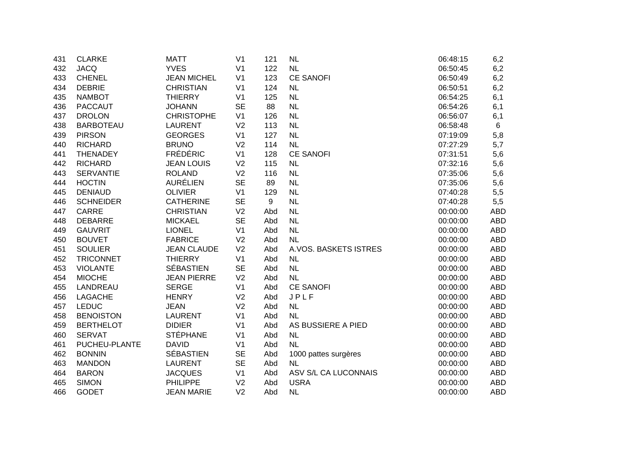| 431 | <b>CLARKE</b>    | <b>MATT</b>        | V <sub>1</sub> | 121 | NL                    | 06:48:15 | 6,2        |
|-----|------------------|--------------------|----------------|-----|-----------------------|----------|------------|
| 432 | <b>JACQ</b>      | <b>YVES</b>        | V <sub>1</sub> | 122 | <b>NL</b>             | 06:50:45 | 6,2        |
| 433 | <b>CHENEL</b>    | <b>JEAN MICHEL</b> | V <sub>1</sub> | 123 | <b>CE SANOFI</b>      | 06:50:49 | 6,2        |
| 434 | <b>DEBRIE</b>    | <b>CHRISTIAN</b>   | V <sub>1</sub> | 124 | <b>NL</b>             | 06:50:51 | 6,2        |
| 435 | <b>NAMBOT</b>    | <b>THIERRY</b>     | V <sub>1</sub> | 125 | <b>NL</b>             | 06:54:25 | 6,1        |
| 436 | <b>PACCAUT</b>   | <b>JOHANN</b>      | <b>SE</b>      | 88  | <b>NL</b>             | 06:54:26 | 6,1        |
| 437 | <b>DROLON</b>    | <b>CHRISTOPHE</b>  | V <sub>1</sub> | 126 | <b>NL</b>             | 06:56:07 | 6,1        |
| 438 | <b>BARBOTEAU</b> | <b>LAURENT</b>     | V <sub>2</sub> | 113 | <b>NL</b>             | 06:58:48 | 6          |
| 439 | <b>PIRSON</b>    | <b>GEORGES</b>     | V <sub>1</sub> | 127 | <b>NL</b>             | 07:19:09 | 5,8        |
| 440 | <b>RICHARD</b>   | <b>BRUNO</b>       | V <sub>2</sub> | 114 | NL                    | 07:27:29 | 5,7        |
| 441 | <b>THENADEY</b>  | <b>FRÉDÉRIC</b>    | V <sub>1</sub> | 128 | <b>CE SANOFI</b>      | 07:31:51 | 5,6        |
| 442 | <b>RICHARD</b>   | <b>JEAN LOUIS</b>  | V <sub>2</sub> | 115 | <b>NL</b>             | 07:32:16 | 5,6        |
| 443 | <b>SERVANTIE</b> | <b>ROLAND</b>      | V <sub>2</sub> | 116 | <b>NL</b>             | 07:35:06 | 5,6        |
| 444 | <b>HOCTIN</b>    | <b>AURÉLIEN</b>    | <b>SE</b>      | 89  | <b>NL</b>             | 07:35:06 | 5,6        |
| 445 | <b>DENIAUD</b>   | <b>OLIVIER</b>     | V <sub>1</sub> | 129 | <b>NL</b>             | 07:40:28 | 5,5        |
| 446 | <b>SCHNEIDER</b> | <b>CATHERINE</b>   | <b>SE</b>      | 9   | <b>NL</b>             | 07:40:28 | 5,5        |
| 447 | <b>CARRE</b>     | <b>CHRISTIAN</b>   | V <sub>2</sub> | Abd | <b>NL</b>             | 00:00:00 | <b>ABD</b> |
| 448 | <b>DEBARRE</b>   | <b>MICKAEL</b>     | <b>SE</b>      | Abd | <b>NL</b>             | 00:00:00 | <b>ABD</b> |
| 449 | <b>GAUVRIT</b>   | <b>LIONEL</b>      | V <sub>1</sub> | Abd | <b>NL</b>             | 00:00:00 | <b>ABD</b> |
| 450 | <b>BOUVET</b>    | <b>FABRICE</b>     | V <sub>2</sub> | Abd | <b>NL</b>             | 00:00:00 | <b>ABD</b> |
| 451 | <b>SOULIER</b>   | <b>JEAN CLAUDE</b> | V <sub>2</sub> | Abd | A.VOS. BASKETS ISTRES | 00:00:00 | <b>ABD</b> |
| 452 | <b>TRICONNET</b> | <b>THIERRY</b>     | V <sub>1</sub> | Abd | <b>NL</b>             | 00:00:00 | <b>ABD</b> |
| 453 | <b>VIOLANTE</b>  | <b>SÉBASTIEN</b>   | <b>SE</b>      | Abd | NL                    | 00:00:00 | <b>ABD</b> |
| 454 | <b>MIOCHE</b>    | <b>JEAN PIERRE</b> | V <sub>2</sub> | Abd | NL                    | 00:00:00 | <b>ABD</b> |
| 455 | LANDREAU         | <b>SERGE</b>       | V <sub>1</sub> | Abd | <b>CE SANOFI</b>      | 00:00:00 | <b>ABD</b> |
| 456 | <b>LAGACHE</b>   | <b>HENRY</b>       | V <sub>2</sub> | Abd | JPLF                  | 00:00:00 | <b>ABD</b> |
| 457 | <b>LEDUC</b>     | <b>JEAN</b>        | V <sub>2</sub> | Abd | <b>NL</b>             | 00:00:00 | <b>ABD</b> |
| 458 | <b>BENOISTON</b> | <b>LAURENT</b>     | V <sub>1</sub> | Abd | NL                    | 00:00:00 | <b>ABD</b> |
| 459 | <b>BERTHELOT</b> | <b>DIDIER</b>      | V <sub>1</sub> | Abd | AS BUSSIERE A PIED    | 00:00:00 | <b>ABD</b> |
| 460 | <b>SERVAT</b>    | <b>STÉPHANE</b>    | V <sub>1</sub> | Abd | <b>NL</b>             | 00:00:00 | <b>ABD</b> |
| 461 | PUCHEU-PLANTE    | <b>DAVID</b>       | V <sub>1</sub> | Abd | <b>NL</b>             | 00:00:00 | <b>ABD</b> |
| 462 | <b>BONNIN</b>    | <b>SÉBASTIEN</b>   | <b>SE</b>      | Abd | 1000 pattes surgères  | 00:00:00 | <b>ABD</b> |
| 463 | <b>MANDON</b>    | <b>LAURENT</b>     | <b>SE</b>      | Abd | NL                    | 00:00:00 | ABD        |
| 464 | <b>BARON</b>     | <b>JACQUES</b>     | V <sub>1</sub> | Abd | ASV S/L CA LUCONNAIS  | 00:00:00 | ABD        |
| 465 | <b>SIMON</b>     | <b>PHILIPPE</b>    | V <sub>2</sub> | Abd | <b>USRA</b>           | 00:00:00 | ABD        |
| 466 | <b>GODET</b>     | <b>JEAN MARIE</b>  | V <sub>2</sub> | Abd | <b>NL</b>             | 00:00:00 | <b>ABD</b> |